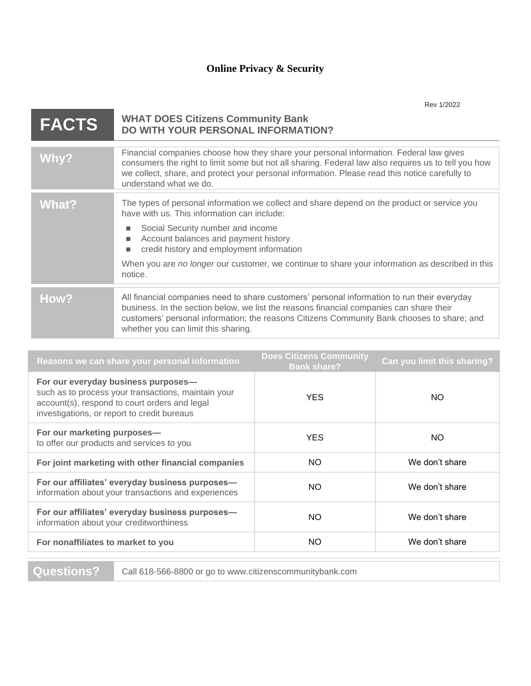|              | Rev 1/2022                                                                                                                                                                                                                                                                                                                                                                                   |
|--------------|----------------------------------------------------------------------------------------------------------------------------------------------------------------------------------------------------------------------------------------------------------------------------------------------------------------------------------------------------------------------------------------------|
| <b>FACTS</b> | <b>WHAT DOES Citizens Community Bank</b><br><b>DO WITH YOUR PERSONAL INFORMATION?</b>                                                                                                                                                                                                                                                                                                        |
| Why?         | Financial companies choose how they share your personal information. Federal law gives<br>consumers the right to limit some but not all sharing. Federal law also requires us to tell you how<br>we collect, share, and protect your personal information. Please read this notice carefully to<br>understand what we do.                                                                    |
| What?        | The types of personal information we collect and share depend on the product or service you<br>have with us. This information can include:<br>Social Security number and income<br>Account balances and payment history<br>٠<br>credit history and employment information<br>٠<br>When you are no longer our customer, we continue to share your information as described in this<br>notice. |
| How?         | All financial companies need to share customers' personal information to run their everyday<br>business. In the section below, we list the reasons financial companies can share their<br>customers' personal information; the reasons Citizens Community Bank chooses to share; and<br>whether you can limit this sharing.                                                                  |
|              |                                                                                                                                                                                                                                                                                                                                                                                              |

| Reasons we can share your personal information                                                                                                                                             | <b>Does Citizens Community</b><br><b>Bank share?</b> | Can you limit this sharing? |
|--------------------------------------------------------------------------------------------------------------------------------------------------------------------------------------------|------------------------------------------------------|-----------------------------|
| For our everyday business purposes-<br>such as to process your transactions, maintain your<br>account(s), respond to court orders and legal<br>investigations, or report to credit bureaus | <b>YES</b>                                           | NO.                         |
| For our marketing purposes-<br>to offer our products and services to you                                                                                                                   | <b>YES</b>                                           | NO.                         |
| For joint marketing with other financial companies                                                                                                                                         | NO.                                                  | We don't share              |
| For our affiliates' everyday business purposes-<br>information about your transactions and experiences                                                                                     | <b>NO</b>                                            | We don't share              |
| For our affiliates' everyday business purposes-<br>information about your creditworthiness                                                                                                 | NO.                                                  | We don't share              |
| For nonaffiliates to market to you                                                                                                                                                         | NO.                                                  | We don't share              |
|                                                                                                                                                                                            |                                                      |                             |

**Questions?** Call 618-566-8800 or go to www.citizenscommunitybank.com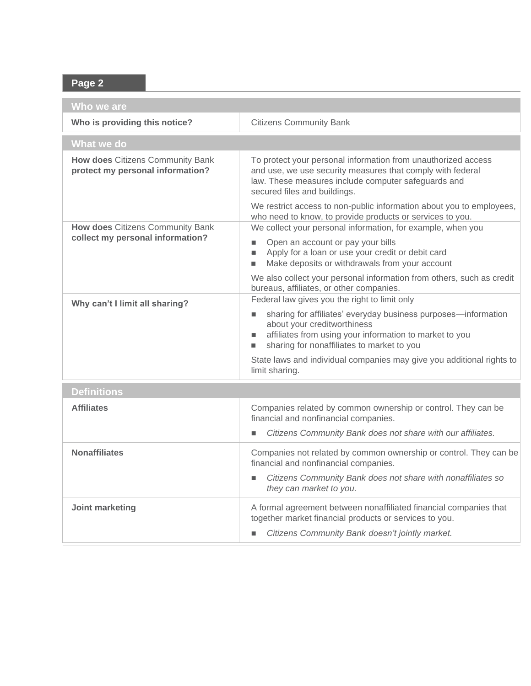## **Page 2**

| Who we are                                                           |                                                                                                                                                                                                                                                         |  |  |
|----------------------------------------------------------------------|---------------------------------------------------------------------------------------------------------------------------------------------------------------------------------------------------------------------------------------------------------|--|--|
| Who is providing this notice?                                        | <b>Citizens Community Bank</b>                                                                                                                                                                                                                          |  |  |
| What we do                                                           |                                                                                                                                                                                                                                                         |  |  |
| How does Citizens Community Bank<br>protect my personal information? | To protect your personal information from unauthorized access<br>and use, we use security measures that comply with federal<br>law. These measures include computer safeguards and<br>secured files and buildings.                                      |  |  |
| How does Citizens Community Bank                                     | We restrict access to non-public information about you to employees,<br>who need to know, to provide products or services to you.<br>We collect your personal information, for example, when you                                                        |  |  |
| collect my personal information?                                     | Open an account or pay your bills<br>Apply for a loan or use your credit or debit card<br>Make deposits or withdrawals from your account                                                                                                                |  |  |
|                                                                      | We also collect your personal information from others, such as credit<br>bureaus, affiliates, or other companies.                                                                                                                                       |  |  |
| Why can't I limit all sharing?                                       | Federal law gives you the right to limit only<br>sharing for affiliates' everyday business purposes-information<br>about your creditworthiness<br>affiliates from using your information to market to you<br>sharing for nonaffiliates to market to you |  |  |
|                                                                      | State laws and individual companies may give you additional rights to<br>limit sharing.                                                                                                                                                                 |  |  |
| <b>Definitions</b>                                                   |                                                                                                                                                                                                                                                         |  |  |
| <b>Affiliates</b>                                                    | Companies related by common ownership or control. They can be<br>financial and nonfinancial companies.                                                                                                                                                  |  |  |
|                                                                      | Citizens Community Bank does not share with our affiliates.<br>$\blacksquare$                                                                                                                                                                           |  |  |
| <b>Nonaffiliates</b>                                                 | Companies not related by common ownership or control. They can be<br>financial and nonfinancial companies.                                                                                                                                              |  |  |
|                                                                      | Citizens Community Bank does not share with nonaffiliates so<br>they can market to you.                                                                                                                                                                 |  |  |
| Joint marketing                                                      | A formal agreement between nonaffiliated financial companies that<br>together market financial products or services to you.<br>Citizens Community Bank doesn't jointly market.                                                                          |  |  |